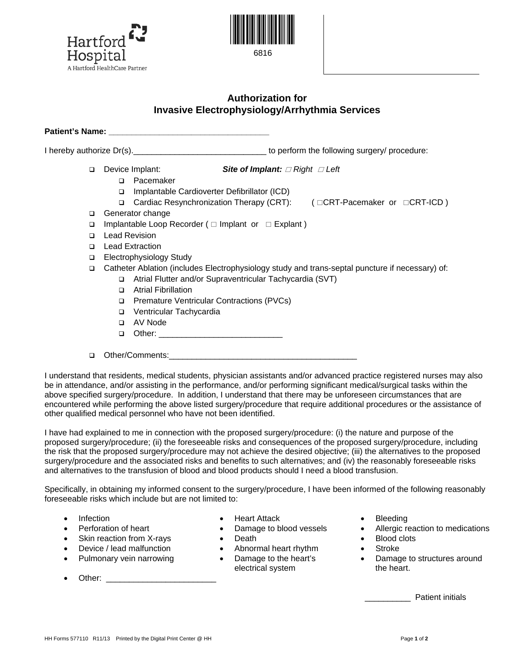



## **Authorization for Invasive Electrophysiology/Arrhythmia Services**

Patient's Name:

I hereby authorize Dr(s). Thereby authorize Dr(s).

- 
- Device Implant: *Site of Implant: Right Left* 
	- □ Pacemaker
	- □ Implantable Cardioverter Defibrillator (ICD)
	- Cardiac Resynchronization Therapy (CRT): ( CRT-Pacemaker or CRT-ICD )
- Generator change
- $\Box$  Implantable Loop Recorder ( $\Box$  Implant or  $\Box$  Explant)
- **Lead Revision**
- **Lead Extraction**
- □ Electrophysiology Study
- Catheter Ablation (includes Electrophysiology study and trans-septal puncture if necessary) of:
	- Atrial Flutter and/or Supraventricular Tachycardia (SVT)
	- Atrial Fibrillation
	- □ Premature Ventricular Contractions (PVCs)
	- Ventricular Tachycardia
	- AV Node
	- Other: \_\_\_\_\_\_\_\_\_\_\_\_\_\_\_\_\_\_\_\_\_\_\_\_\_\_\_
- $\Box$  Other/Comments:

I understand that residents, medical students, physician assistants and/or advanced practice registered nurses may also be in attendance, and/or assisting in the performance, and/or performing significant medical/surgical tasks within the above specified surgery/procedure. In addition, I understand that there may be unforeseen circumstances that are encountered while performing the above listed surgery/procedure that require additional procedures or the assistance of other qualified medical personnel who have not been identified.

I have had explained to me in connection with the proposed surgery/procedure: (i) the nature and purpose of the proposed surgery/procedure; (ii) the foreseeable risks and consequences of the proposed surgery/procedure, including the risk that the proposed surgery/procedure may not achieve the desired objective; (iii) the alternatives to the proposed surgery/procedure and the associated risks and benefits to such alternatives; and (iv) the reasonably foreseeable risks and alternatives to the transfusion of blood and blood products should I need a blood transfusion.

Specifically, in obtaining my informed consent to the surgery/procedure, I have been informed of the following reasonably foreseeable risks which include but are not limited to:

- 
- 
- Skin reaction from X-rays Death Blood clots
- 
- Pulmonary vein narrowing Damage to the heart's
- Other: \_\_\_\_\_\_\_\_\_\_\_\_\_\_\_\_\_\_\_\_\_\_\_\_
- Infection Heart Attack Bleeding
	-
	-
- Device / lead malfunction Abnormal heart rhythm Stroke
	- electrical system
- 
- Perforation of heart Damage to blood vessels Allergic reaction to medications
	-
	-
	- Damage to structures around the heart.

\_\_\_\_\_\_\_\_\_\_ Patient initials